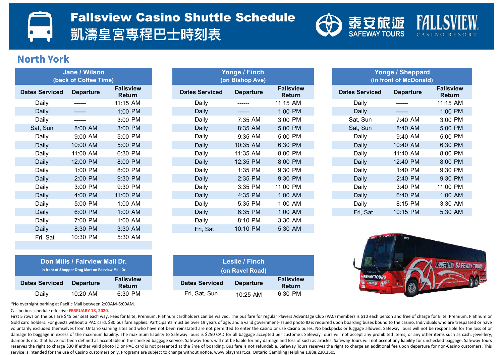

#### **North York**

| <b>Jane / Wilson</b>  |                  |                                   |  |  |  |  |  |  |  |  |  |  |
|-----------------------|------------------|-----------------------------------|--|--|--|--|--|--|--|--|--|--|
| (back of Coffee Time) |                  |                                   |  |  |  |  |  |  |  |  |  |  |
| <b>Dates Serviced</b> | <b>Departure</b> | <b>Fallsview</b><br><b>Return</b> |  |  |  |  |  |  |  |  |  |  |
| Daily                 |                  | 11:15 AM                          |  |  |  |  |  |  |  |  |  |  |
| Daily                 |                  | 1:00 PM                           |  |  |  |  |  |  |  |  |  |  |
| Daily                 |                  | 3:00 PM                           |  |  |  |  |  |  |  |  |  |  |
| Sat, Sun              | $8:00$ AM        | 3:00 PM                           |  |  |  |  |  |  |  |  |  |  |
| Daily                 | $9:00$ AM        | 5:00 PM                           |  |  |  |  |  |  |  |  |  |  |
| Daily                 | 10:00 AM         | 5:00 PM                           |  |  |  |  |  |  |  |  |  |  |
| Daily                 | 11:00 AM         | 6:30 PM                           |  |  |  |  |  |  |  |  |  |  |
| Daily                 | 12:00 PM         | 8:00 PM                           |  |  |  |  |  |  |  |  |  |  |
| Daily                 | 1:00 PM          | 8:00 PM                           |  |  |  |  |  |  |  |  |  |  |
| Daily                 | 2:00 PM          | 9:30 PM                           |  |  |  |  |  |  |  |  |  |  |
| Daily                 | 3:00 PM          | 9:30 PM                           |  |  |  |  |  |  |  |  |  |  |
| Daily                 | 4:00 PM          | 11:00 PM                          |  |  |  |  |  |  |  |  |  |  |
| Daily                 | 5:00 PM          | 1:00 AM                           |  |  |  |  |  |  |  |  |  |  |
| Daily                 | 6:00 PM          | 1:00 AM                           |  |  |  |  |  |  |  |  |  |  |
| Daily                 | 7:00 PM          | 1:00 AM                           |  |  |  |  |  |  |  |  |  |  |
| <b>Daily</b>          | 8:30 PM          | 3:30 AM                           |  |  |  |  |  |  |  |  |  |  |
| Fri, Sat              | 10:30 PM         | 5:30 AM                           |  |  |  |  |  |  |  |  |  |  |
|                       |                  |                                   |  |  |  |  |  |  |  |  |  |  |

|             | (back of Coffee Time) |                            |                       | (on Bishop Ave)  | (in front of McDonald)     |  |                       |                  |  |
|-------------|-----------------------|----------------------------|-----------------------|------------------|----------------------------|--|-----------------------|------------------|--|
| es Serviced | <b>Departure</b>      | <b>Fallsview</b><br>Return | <b>Dates Serviced</b> | <b>Departure</b> | <b>Fallsview</b><br>Return |  | <b>Dates Serviced</b> | <b>Departure</b> |  |
| Daily       | ------                | 11:15 AM                   | Daily                 | ------           | 11:15 AM                   |  | Daily                 | ------           |  |
| Daily       | -------               | 1:00 PM                    | Daily                 | ------           | 1:00 PM                    |  | Daily                 | ------           |  |
| Daily       | ------                | 3:00 PM                    | Daily                 | 7:35 AM          | 3:00 PM                    |  | Sat, Sun              | 7:40 AM          |  |
| Sat, Sun    | 8:00 AM               | 3:00 PM                    | Daily                 | 8:35 AM          | 5:00 PM                    |  | Sat, Sun              | 8:40 AM          |  |
| Daily       | 9:00 AM               | 5:00 PM                    | Daily                 | 9:35 AM          | 5:00 PM                    |  | Daily                 | 9:40 AM          |  |
| Daily       | 10:00 AM              | 5:00 PM                    | Daily                 | 10:35 AM         | 6:30 PM                    |  | Daily                 | 10:40 AM         |  |
| Daily       | 11:00 AM              | 6:30 PM                    | Daily                 | 11:35 AM         | 8:00 PM                    |  | Daily                 | 11:40 AM         |  |
| Daily       | 12:00 PM              | 8:00 PM                    | Daily                 | 12:35 PM         | 8:00 PM                    |  | Daily                 | 12:40 PM         |  |
| Daily       | 1:00 PM               | 8:00 PM                    | Daily                 | 1:35 PM          | 9:30 PM                    |  | Daily                 | 1:40 PM          |  |
| Daily       | 2:00 PM               | 9:30 PM                    | Daily                 | 2:35 PM          | 9:30 PM                    |  | Daily                 | 2:40 PM          |  |
| Daily       | 3:00 PM               | 9:30 PM                    | Daily                 | 3:35 PM          | 11:00 PM                   |  | Daily                 | 3:40 PM          |  |
| Daily       | 4:00 PM               | 11:00 PM                   | Daily                 | 4:35 PM          | 1:00 AM                    |  | Daily                 | 6:40 PM          |  |
| Daily       | 5:00 PM               | 1:00 AM                    | Daily                 | 5:35 PM          | 1:00 AM                    |  | Daily                 | 8:15 PM          |  |
| Daily       | 6:00 PM               | 1:00 AM                    | Daily                 | 6:35 PM          | 1:00 AM                    |  | Fri, Sat              | 10:15 PM         |  |
| Daily       | 7:00 PM               | 1:00 AM                    | Daily                 | 8:10 PM          | 3:30 AM                    |  |                       |                  |  |
| Daily       | 8:30 PM               | 3:30 AM                    | Fri, Sat              | 10:10 PM         | 5:30 AM                    |  |                       |                  |  |

**Yonge / Finch** 

|                           | Yonge / Sheppard<br>(in front of McDonald) |                  |                                   |
|---------------------------|--------------------------------------------|------------------|-----------------------------------|
| allsview<br><b>Return</b> | <b>Dates Serviced</b>                      | <b>Departure</b> | <b>Fallsview</b><br><b>Return</b> |
| :15 AM                    | Daily                                      |                  | 11:15 AM                          |
| :00 PM                    | Daily                                      |                  | 1:00 PM                           |
| :00 PM                    | Sat, Sun                                   | 7:40 AM          | 3:00 PM                           |
| :00 PM                    | Sat, Sun                                   | 8:40 AM          | 5:00 PM                           |
| :00 PM                    | Daily                                      | 9:40 AM          | 5:00 PM                           |
| :30 PM                    | <b>Daily</b>                               | 10:40 AM         | 6:30 PM                           |
| :00 PM                    | Daily                                      | 11:40 AM         | 8:00 PM                           |
| :00 PM                    | Daily                                      | 12:40 PM         | 8:00 PM                           |
| :30 PM                    | Daily                                      | 1:40 PM          | 9:30 PM                           |
| :30 PM                    | <b>Daily</b>                               | $2:40$ PM        | 9:30 PM                           |
| :00 PM                    | Daily                                      | 3:40 PM          | 11:00 PM                          |
| :00 AM                    | Daily                                      | 6:40 PM          | 1:00 AM                           |
| :00 AM                    | Daily                                      | 8:15 PM          | 3:30 AM                           |
| ∙NA AN                    | $Fin$ $Cat$                                | $10.15$ DM       | 5.30 AM                           |



| <b>Dates Serviced</b> | <b>Departure</b> | <b>Fallsview</b><br><b>Return</b> |
|-----------------------|------------------|-----------------------------------|
| Daily                 | $10:20$ AM       | 6:30 PM                           |

\*No overnight parking at Pacific Mall between 2:00AM-6:00AM.

Casino bus schedule effective **FERRUARY 18, 2020**.

|                   | Don Mills / Fairview Mall Dr.<br>In front of Shopper Drug Mart on Fairview Mall Dr. |                                   | Leslie / Finch<br>(on Ravel Road) |                  |                                   |  |  |
|-------------------|-------------------------------------------------------------------------------------|-----------------------------------|-----------------------------------|------------------|-----------------------------------|--|--|
| Serviced <b>:</b> | <b>Departure</b>                                                                    | <b>Fallsview</b><br><b>Return</b> | <b>Dates Serviced</b>             | <b>Departure</b> | <b>Fallsview</b><br><b>Return</b> |  |  |
| Daily             | $10:20$ AM                                                                          | 6:30 PM                           | Fri, Sat, Sun                     | 10:25 AM         | 6:30 PM                           |  |  |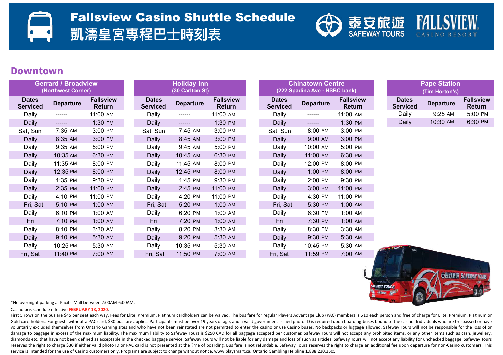# Fallsview Casino Shuttle Schedule

**凱濤皇宮專程巴時刻表**



**FEWAY TOURS** 

**的素守旅游 SAFFWAY** 

#### **Downtown**

| <b>Gerrard / Broadview</b><br>(Northwest Corner) |                  |                                   | <b>Holiday Inn</b><br>(30 Carlton St) |                  |                                   | <b>Chinatown Centre</b><br>(222 Spadina Ave - HSBC bank) |                                 |                  |                            | <b>Pape Station</b><br>(Tim Horton's) |                  |                                   |
|--------------------------------------------------|------------------|-----------------------------------|---------------------------------------|------------------|-----------------------------------|----------------------------------------------------------|---------------------------------|------------------|----------------------------|---------------------------------------|------------------|-----------------------------------|
| <b>Dates</b><br><b>Serviced</b>                  | <b>Departure</b> | <b>Fallsview</b><br><b>Return</b> | <b>Dates</b><br><b>Serviced</b>       | <b>Departure</b> | <b>Fallsview</b><br><b>Return</b> |                                                          | <b>Dates</b><br><b>Serviced</b> | <b>Departure</b> | <b>Fallsview</b><br>Return | <b>Dates</b><br><b>Serviced</b>       | <b>Departure</b> | <b>Fallsview</b><br><b>Return</b> |
| Daily                                            | ------           | 11:00 AM                          | Daily                                 | $-----$          | 11:00 AM                          |                                                          | Daily                           | $- - - - - -$    | 11:00 AM                   | Daily                                 | 9:25 AM          | 5:00 PM                           |
| Daily                                            | $-----$          | 1:30 PM                           | Daily                                 | ------           | 1:30 PM                           |                                                          | Daily                           | $------$         | 1:30 PM                    | Daily                                 | 10:30 AM         | 6:30 PM                           |
| Sat, Sun                                         | 7:35 AM          | 3:00 PM                           | Sat, Sun                              | 7:45 AM          | 3:00 PM                           |                                                          | Sat, Sun                        | 8:00 AM          | 3:00 PM                    |                                       |                  |                                   |
| Daily                                            | 8:35 AM          | 3:00 PM                           | Daily                                 | 8:45 AM          | 3:00 PM                           |                                                          | Daily                           | 9:00 AM          | 3:00 PM                    |                                       |                  |                                   |
| Daily                                            | 9:35 AM          | 5:00 PM                           | Daily                                 | 9:45 AM          | 5:00 PM                           |                                                          | Daily                           | 10:00 AM         | 5:00 PM                    |                                       |                  |                                   |
| Daily                                            | 10:35 AM         | 6:30 PM                           | Daily                                 | 10:45 AM         | 6:30 PM                           |                                                          | Daily                           | 11:00 AM         | 6:30 PM                    |                                       |                  |                                   |
| Daily                                            | 11:35 AM         | 8:00 PM                           | Daily                                 | 11:45 AM         | 8:00 PM                           |                                                          | Daily                           | 12:00 PM         | 8:00 PM                    |                                       |                  |                                   |
| <b>Daily</b>                                     | 12:35 PM         | 8:00 PM                           | Daily                                 | 12:45 PM         | 8:00 PM                           |                                                          | Daily                           | 1:00 PM          | 8:00 PM                    |                                       |                  |                                   |
| Daily                                            | 1:35 PM          | 9:30 PM                           | Daily                                 | 1:45 PM          | 9:30 PM                           |                                                          | Daily                           | 2:00 PM          | 9:30 PM                    |                                       |                  |                                   |
| Daily                                            | 2:35 PM          | 11:00 PM                          | Daily                                 | 2:45 PM          | 11:00 PM                          |                                                          | Daily                           | 3:00 PM          | 11:00 PM                   |                                       |                  |                                   |
| Daily                                            | 4:10 PM          | 11:00 PM                          | Daily                                 | 4:20 PM          | 11:00 PM                          |                                                          | Daily                           | 4:30 PM          | 11:00 PM                   |                                       |                  |                                   |
| Fri, Sat                                         | 5:10 PM          | 1:00 AM                           | Fri, Sat                              | 5:20 PM          | 1:00 AM                           |                                                          | Fri, Sat                        | 5:30 PM          | 1:00 AM                    |                                       |                  |                                   |
| Daily                                            | 6:10 PM          | 1:00 AM                           | Daily                                 | 6:20 PM          | 1:00 AM                           |                                                          | Daily                           | 6:30 PM          | 1:00 AM                    |                                       |                  |                                   |
| Fri                                              | 7:10 PM          | 1:00 AM                           | Fri                                   | 7:20 PM          | 1:00 AM                           |                                                          | Fri                             | 7:30 PM          | 1:00 AM                    |                                       |                  |                                   |
| Daily                                            | 8:10 PM          | 3:30 AM                           | Daily                                 | 8:20 PM          | 3:30 AM                           |                                                          | Daily                           | 8:30 PM          | 3:30 AM                    |                                       |                  |                                   |
| Daily                                            | 9:10 PM          | 5:30 AM                           | Daily                                 | 9:20 PM          | 5:30 AM                           |                                                          | Daily                           | 9:30 PM          | 5:30 AM                    |                                       |                  |                                   |
| Daily                                            | 10:25 PM         | 5:30 AM                           | Daily                                 | 10:35 PM         | 5:30 AM                           |                                                          | Daily                           | 10:45 PM         | 5:30 AM                    | 93002                                 |                  |                                   |
| Fri, Sat                                         | 11:40 PM         | 7:00 AM                           | Fri, Sat                              | 11:50 PM         | 7:00 AM                           |                                                          | Fri, Sat                        | 11:59 PM         | 7:00 AM                    |                                       |                  |                                   |

\*No overnight parking at Pacific Mall between 2:00AM-6:00AM.

Casino bus schedule eVecve **FEBRUARY 18, 2020**.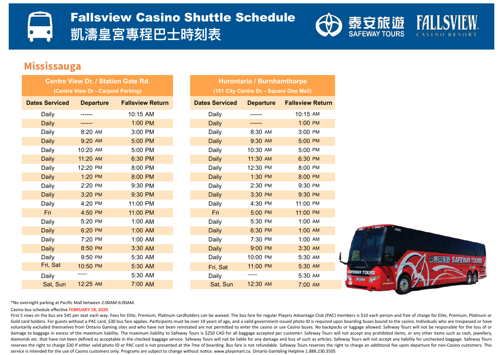

#### **Mississauga**

| <b>Centre View Dr. / Station Gate Rd.</b> |                  |                         |  |  |  |
|-------------------------------------------|------------------|-------------------------|--|--|--|
| (Centre View Dr - Carpool Parking)        |                  |                         |  |  |  |
| <b>Dates Serviced</b>                     | <b>Departure</b> | <b>Fallsview Return</b> |  |  |  |
| Daily                                     |                  | 10:15 AM                |  |  |  |
| <b>Daily</b>                              |                  | 1:00 PM                 |  |  |  |
| Daily                                     | 8:20 AM          | 3:00 PM                 |  |  |  |
| <b>Daily</b>                              | $9:20$ AM        | 5:00 PM                 |  |  |  |
| Daily                                     | 10:20 AM         | 5:00 PM                 |  |  |  |
| <b>Daily</b>                              | 11:20 AM         | 6:30 PM                 |  |  |  |
| Daily                                     | 12:20 PM         | 8:00 PM                 |  |  |  |
| <b>Daily</b>                              | 1:20 PM          | 8:00 PM                 |  |  |  |
| Daily                                     | 2:20 PM          | 9:30 PM                 |  |  |  |
| <b>Daily</b>                              | 3:20 PM          | 9:30 PM                 |  |  |  |
| Daily                                     | 4:20 PM          | 11:00 PM                |  |  |  |
| Fri                                       | 4:50 PM          | 11:00 PM                |  |  |  |
| Daily                                     | 5:20 PM          | 1:00 AM                 |  |  |  |
| <b>Daily</b>                              | 6:20 PM          | 1:00 AM                 |  |  |  |
| Daily                                     | 7:20 PM          | 1:00 AM                 |  |  |  |
| <b>Daily</b>                              | 8:50 PM          | 3:30 AM                 |  |  |  |
| Daily                                     | 9:50 PM          | 5:30 AM                 |  |  |  |
| Fri, Sat                                  | 10:50 PM         | 5:30 AM                 |  |  |  |
| Daily                                     | -------          | 5:30 AM                 |  |  |  |
| Sat, Sun                                  | 12:25 AM         | 7:00 AM                 |  |  |  |

| <b>Hurontario / Burnhamthorpe</b> |                                         |                                   |  |  |  |  |  |  |  |
|-----------------------------------|-----------------------------------------|-----------------------------------|--|--|--|--|--|--|--|
|                                   | (151 City Centre Dr. - Square One Mall) |                                   |  |  |  |  |  |  |  |
| <b>Dates Serviced</b>             |                                         | <b>Departure Fallsview Return</b> |  |  |  |  |  |  |  |
| Daily                             |                                         | 10:15 AM                          |  |  |  |  |  |  |  |
| <b>Daily</b>                      |                                         | 1:00 PM                           |  |  |  |  |  |  |  |
| Daily                             | 8:30 AM                                 | 3:00 PM                           |  |  |  |  |  |  |  |
| <b>Daily</b>                      | 9:30 AM                                 | 5:00 PM                           |  |  |  |  |  |  |  |
| Daily                             | 10:30 AM                                | 5:00 PM                           |  |  |  |  |  |  |  |
| <b>Daily</b>                      | 11:30 AM                                | 6:30 PM                           |  |  |  |  |  |  |  |
| Daily                             | 12:30 PM                                | 8:00 PM                           |  |  |  |  |  |  |  |
| <b>Daily</b>                      | 1:30 PM                                 | 8:00 PM                           |  |  |  |  |  |  |  |
| Daily                             | 2:30 PM                                 | 9:30 PM                           |  |  |  |  |  |  |  |
| <b>Daily</b>                      | 3:30 PM                                 | 9:30 PM                           |  |  |  |  |  |  |  |
| Daily                             | 4:30 PM                                 | 11:00 PM                          |  |  |  |  |  |  |  |
| <b>Fri</b>                        | 5:00 PM                                 | 11:00 PM                          |  |  |  |  |  |  |  |
| Daily                             | 5:30 PM                                 | 1:00 AM                           |  |  |  |  |  |  |  |
| <b>Daily</b>                      | 6:30 PM                                 | 1:00 AM                           |  |  |  |  |  |  |  |
| Daily                             | 7:30 PM                                 | 1:00 AM                           |  |  |  |  |  |  |  |
| <b>Daily</b>                      | 9:00 PM                                 | 3:30 AM                           |  |  |  |  |  |  |  |
| Daily                             | 10:00 PM                                | 5:30 AM                           |  |  |  |  |  |  |  |
| Fri, Sat                          | 11:00 PM                                | 5:30 AM                           |  |  |  |  |  |  |  |
| Daily                             |                                         | 5:30 AM                           |  |  |  |  |  |  |  |
| Sat, Sun                          | 12:30 AM                                | 7:00 AM                           |  |  |  |  |  |  |  |



\*No overnight parking at Pacific Mall between 2:00AM-6:00AM.

#### Casino bus schedule effective **FEBRUARY 18, 2020.**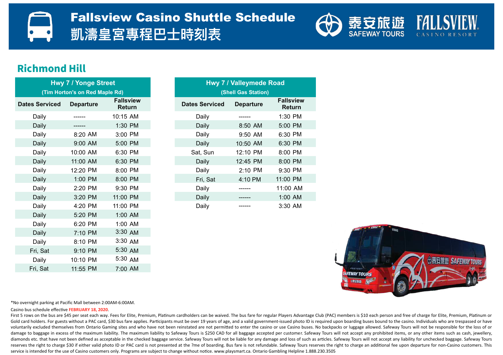

#### **Richmond Hill**

| <b>Hwy 7 / Yonge Street</b>    |                  |                                   |  |  |  |  |
|--------------------------------|------------------|-----------------------------------|--|--|--|--|
| (Tim Horton's on Red Maple Rd) |                  |                                   |  |  |  |  |
| <b>Dates Serviced</b>          | <b>Departure</b> | <b>Fallsview</b><br><b>Return</b> |  |  |  |  |
| Daily                          |                  | 10:15 AM                          |  |  |  |  |
| Daily                          |                  | 1:30 PM                           |  |  |  |  |
| Daily                          | 8:20 AM          | 3:00 PM                           |  |  |  |  |
| Daily                          | 9:00 AM          | 5:00 PM                           |  |  |  |  |
| Daily                          | 10:00 AM         | 6:30 PM                           |  |  |  |  |
| Daily                          | 11:00 AM         | 6:30 PM                           |  |  |  |  |
| Daily                          | 12:20 PM         | 8:00 PM                           |  |  |  |  |
| Daily                          | 1:00 PM          | 8:00 PM                           |  |  |  |  |
| Daily                          | 2:20 PM          | 9:30 PM                           |  |  |  |  |
| Daily                          | 3:20 PM          | 11:00 PM                          |  |  |  |  |
| Daily                          | 4:20 PM          | 11:00 PM                          |  |  |  |  |
| Daily                          | 5:20 PM          | 1:00 AM                           |  |  |  |  |
| Daily                          | 6:20 PM          | 1:00 AM                           |  |  |  |  |
| Daily                          | 7:10 PM          | 3:30 AM                           |  |  |  |  |
| Daily                          | 8:10 PM          | 3:30 AM                           |  |  |  |  |
| Fri, Sat                       | 9:10 PM          | 5:30 AM                           |  |  |  |  |
| Daily                          | 10:10 PM         | 5:30 AM                           |  |  |  |  |
| Fri, Sat                       | 11:55 PM         | 7:00 AM                           |  |  |  |  |

|                 | <b>Hwy 7 / Yonge Street</b><br>(Tim Horton's on Red Maple Rd) |                                   | <b>Hwy 77 Valleymede Road</b><br>(Shell Gas Station) |                  |                                   |  |  |
|-----------------|---------------------------------------------------------------|-----------------------------------|------------------------------------------------------|------------------|-----------------------------------|--|--|
| <b>Serviced</b> | <b>Departure</b>                                              | <b>Fallsview</b><br><b>Return</b> | <b>Dates Serviced</b>                                | <b>Departure</b> | <b>Fallsview</b><br><b>Return</b> |  |  |
| Daily           |                                                               | 10:15 AM                          | Daily                                                |                  | 1:30 PM                           |  |  |
| Daily           |                                                               | 1:30 PM                           | Daily                                                | 8:50 AM          | 5:00 PM                           |  |  |
| Daily           | 8:20 AM                                                       | 3:00 PM                           | Daily                                                | $9:50$ AM        | 6:30 PM                           |  |  |
| Daily           | $9:00$ AM                                                     | 5:00 PM                           | Daily                                                | 10:50 AM         | 6:30 PM                           |  |  |
| Daily           | 10:00 AM                                                      | 6:30 PM                           | Sat, Sun                                             | 12:10 PM         | 8:00 PM                           |  |  |
| Daily           | 11:00 AM                                                      | 6:30 PM                           | Daily                                                | 12:45 PM         | 8:00 PM                           |  |  |
| Daily           | 12:20 PM                                                      | 8:00 PM                           | Daily                                                | $2:10$ PM        | 9:30 PM                           |  |  |
| Daily           | 1:00 PM                                                       | 8:00 PM                           | Fri, Sat                                             | 4:10 PM          | 11:00 PM                          |  |  |
| Daily           | 2:20 PM                                                       | 9:30 PM                           | Daily                                                | ------           | 11:00 AM                          |  |  |
| Daily           | 3:20 PM                                                       | 11:00 PM                          | Daily                                                |                  | $1:00$ AM                         |  |  |
| Daily           | 4:20 PM                                                       | 11:00 PM                          | Daily                                                |                  | $3:30$ AM                         |  |  |
|                 |                                                               |                                   |                                                      |                  |                                   |  |  |



\*No overnight parking at Pacific Mall between 2:00AM-6:00AM.

Casino bus schedule effective **FEBRUARY 18, 2020.**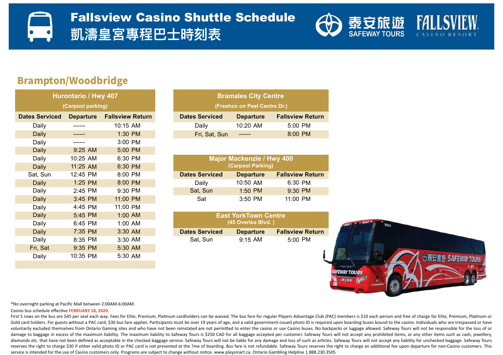

### Brampton/Woodbridge

| Hurontario / Hwy 407 |                         |  |  |  |  |  |  |
|----------------------|-------------------------|--|--|--|--|--|--|
| (Carpool parking)    |                         |  |  |  |  |  |  |
| <b>Departure</b>     | <b>Fallsview Return</b> |  |  |  |  |  |  |
|                      | 10:15 AM                |  |  |  |  |  |  |
|                      | 1:30 PM                 |  |  |  |  |  |  |
|                      | 3:00 PM                 |  |  |  |  |  |  |
| 9:25 AM              | 5:00 PM                 |  |  |  |  |  |  |
| 10:25 AM             | 6:30 PM                 |  |  |  |  |  |  |
| 11:25 AM             | 6:30 PM                 |  |  |  |  |  |  |
| 12:45 PM             | 8:00 PM                 |  |  |  |  |  |  |
| 1:25 PM              | 8:00 PM                 |  |  |  |  |  |  |
| 2:45 PM              | 9:30 PM                 |  |  |  |  |  |  |
| 3:45 PM              | 11:00 PM                |  |  |  |  |  |  |
| 4:45 PM              | 11:00 PM                |  |  |  |  |  |  |
| 5:45 PM              | 1:00 AM                 |  |  |  |  |  |  |
| 6:45 PM              | 1:00 AM                 |  |  |  |  |  |  |
| 7:35 PM              | 3:30 AM                 |  |  |  |  |  |  |
| 8:35 PM              | 3:30 AM                 |  |  |  |  |  |  |
| 9:35 PM              | 5:30 AM                 |  |  |  |  |  |  |
| 10:35 PM             | 5:30 AM                 |  |  |  |  |  |  |
|                      |                         |  |  |  |  |  |  |

|                       | Hurontario / Hwy 407 |                         | <b>Bramales City Centre</b>  |                  |                         |  |  |
|-----------------------|----------------------|-------------------------|------------------------------|------------------|-------------------------|--|--|
|                       | (Carpool parking)    |                         | (Freshco on Peel Centre Dr.) |                  |                         |  |  |
| <b>Dates Serviced</b> | <b>Departure</b>     | <b>Fallsview Return</b> | <b>Dates Serviced</b>        | <b>Departure</b> | <b>Fallsview Return</b> |  |  |
| Daily                 | ------               | 10:15 AM                | Daily                        | $10:20$ AM       | 5:00 PM                 |  |  |
| Daily                 |                      | $1:30$ PM               | Fri, Sat, Sun                | -------          | $8:00$ PM               |  |  |

| Daily    | 10:25 AM   | 6:30 PM   | <b>Major Mackenzie / Hwy 400</b> |                   |                         |
|----------|------------|-----------|----------------------------------|-------------------|-------------------------|
| Daily    | $11:25$ AM | 6:30 PM   |                                  | (Carpool Parking) |                         |
| Sat, Sun | $12:45$ PM | 8:00 PM   | <b>Dates Serviced</b>            | <b>Departure</b>  | <b>Fallsview Return</b> |
| Daily    | $1:25$ PM  | $8:00$ PM | Daily                            | 10:50 AM          | 6:30 PM                 |
| Daily    | 2:45 PM    | 9:30 PM   | Sat, Sun                         | $1:50$ PM         | $9:30$ PM               |
| Daily    | $3:45$ PM  | 11:00 PM  | Sat                              | $3:50$ PM         | 11:00 PM                |

| Daily | $5:45$ PM | $1:00$ AM | <b>East YorkTown Centre</b> |                  |                         |  |  |
|-------|-----------|-----------|-----------------------------|------------------|-------------------------|--|--|
| Daily | 6:45 PM   | 1:00 AM   | (45 Overlea Blvd.)          |                  |                         |  |  |
| Daily | 7:35 PM   | $3:30$ AM | <b>Dates Serviced</b>       | <b>Departure</b> | <b>Fallsview Return</b> |  |  |
| Daily | $8:35$ PM | $3:30$ AM | Sat. Sun                    | $9:15$ AM        | 5:00 PM                 |  |  |



\*No overnight parking at Pacific Mall between 2:00AM-6:00AM.

Casino bus schedule effective **FEBRUARY 18, 2020**.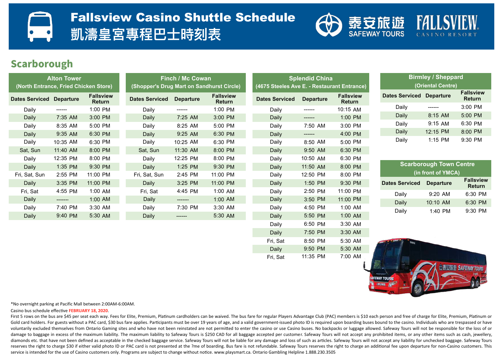

#### **Scarborough**

| <b>Alton Tower</b><br>(North Entrance, Fried Chicken Store) |                  | <b>Finch / Mc Cowan</b><br>(Shopper's Drug Mart on Sandhurst Circle) |                       |                  | <b>Splendid China</b><br>(4675 Steeles Ave E. - Restaurant Entrance) |                       |                  | <b>Birmley / Shep</b><br>(Oriental Cent |                                 |                        |
|-------------------------------------------------------------|------------------|----------------------------------------------------------------------|-----------------------|------------------|----------------------------------------------------------------------|-----------------------|------------------|-----------------------------------------|---------------------------------|------------------------|
| <b>Dates Serviced</b>                                       | <b>Departure</b> | <b>Fallsview</b><br><b>Return</b>                                    | <b>Dates Serviced</b> | <b>Departure</b> | <b>Fallsview</b><br>Return                                           | <b>Dates Serviced</b> | <b>Departure</b> | <b>Fallsview</b><br>Return              | <b>Dates Serviced Departure</b> |                        |
| Daily                                                       | -------          | 1:00 PM                                                              | Daily                 | -------          | 1:00 PM                                                              | Daily                 | ------           | 10:15 AM                                | Daily                           | ------                 |
| Daily                                                       | 7:35 AM          | 3:00 PM                                                              | Daily                 | 7:25 AM          | 3:00 PM                                                              | Daily                 | ------           | 1:00 PM                                 | <b>Daily</b>                    | 8:15 AM                |
| Daily                                                       | 8:35 AM          | 5:00 PM                                                              | Daily                 | 8:25 AM          | 5:00 PM                                                              | Daily                 | 7:50 AM          | 3:00 PM                                 | Daily                           | 9:15 AM                |
| Daily                                                       | 9:35 AM          | 6:30 PM                                                              | Daily                 | 9:25 AM          | 6:30 PM                                                              | Daily                 | ------           | 4:00 PM                                 | Daily                           | 12:15 PM               |
| Daily                                                       | 10:35 AM         | 6:30 PM                                                              | Daily                 | 10:25 AM         | 6:30 PM                                                              | Daily                 | 8:50 AM          | 5:00 PM                                 | Daily                           | 1:15 PM                |
| Sat, Sun                                                    | 11:40 AM         | 8:00 PM                                                              | Sat, Sun              | 11:30 AM         | 8:00 PM                                                              | Daily                 | 9:50 AM          | 6:30 PM                                 |                                 |                        |
| Daily                                                       | 12:35 PM         | 8:00 PM                                                              | Daily                 | 12:25 PM         | 8:00 PM                                                              | Daily                 | 10:50 AM         | 6:30 PM                                 |                                 |                        |
| Daily                                                       | 1:35 PM          | 9:30 PM                                                              | Daily                 | 1:25 PM          | 9:30 PM                                                              | Daily                 | 11:50 AM         | 8:00 PM                                 |                                 | <b>Scarborough Tow</b> |
| Fri, Sat, Sun                                               | 2:55 PM          | 11:00 PM                                                             | Fri, Sat, Sun         | 2:45 PM          | 11:00 PM                                                             | Daily                 | 12:50 PM         | 8:00 PM                                 |                                 | (in front of YM        |
| Daily                                                       | 3:35 PM          | 11:00 PM                                                             | Daily                 | 3:25 PM          | 11:00 PM                                                             | Daily                 | 1:50 PM          | 9:30 PM                                 | <b>Dates Serviced</b>           | <b>Departure</b>       |
| Fri, Sat                                                    | 4:55 PM          | 1:00 AM                                                              | Fri, Sat              | 4:45 PM          | 1:00 AM                                                              | Daily                 | 2:50 PM          | 11:00 PM                                | Daily                           | 9:20 AM                |
| Daily                                                       | -------          | 1:00 AM                                                              | Daily                 | -------          | 1:00 AM                                                              | Daily                 | 3:50 PM          | 11:00 PM                                |                                 |                        |
| Daily                                                       | 7:40 PM          | 3:30 AM                                                              | Daily                 | 7:30 PM          | 3:30 AM                                                              | Daily                 | 4:50 PM          | 1:00 AM                                 | Daily                           | 10:10 AM               |
| Daily                                                       | 9:40 PM          | 5:30 AM                                                              | Daily                 | -------          | 5:30 AM                                                              | Daily                 | 5:50 PM          | 1:00 AM                                 | Daily                           | 1:40 PM                |
|                                                             |                  |                                                                      |                       |                  |                                                                      | Daily                 | 6:50 PM          | 3:30 AM                                 |                                 |                        |

| <b>Birmley / Sheppard</b><br>(Oriental Centre)                       |           |           |  |  |  |
|----------------------------------------------------------------------|-----------|-----------|--|--|--|
| <b>Fallsview</b><br><b>Dates Serviced Departure</b><br><b>Return</b> |           |           |  |  |  |
| Daily                                                                |           | $3:00$ PM |  |  |  |
| Daily                                                                | $8:15$ AM | $5:00$ PM |  |  |  |
| Daily                                                                | $9:15$ AM | 6:30 PM   |  |  |  |
| Daily                                                                | 12:15 PM  | 8:00 PM   |  |  |  |
| Dailv                                                                | $1:15$ PM | 9:30 PM   |  |  |  |

| <b>Scarborough Town Centre</b><br>(in front of YMCA) |                  |                                   |  |  |  |  |
|------------------------------------------------------|------------------|-----------------------------------|--|--|--|--|
| <b>Dates Serviced</b>                                | <b>Departure</b> | <b>Fallsview</b><br><b>Return</b> |  |  |  |  |
| Daily                                                | $9:20$ AM        | 6:30 PM                           |  |  |  |  |
| Daily                                                | 10:10 AM         | 6:30 PM                           |  |  |  |  |
| Daily                                                | 1:40 PM          | $9:30$ PM                         |  |  |  |  |



\*No overnight parking at Pacific Mall between 2:00AM-6:00AM.

Casino bus schedule effective **FEBRUARY 18, 2020**.

First 5 rows on the bus are \$45 per seat each way. Fees for Elite, Premium, Platinum cardholders can be waived. The bus fare for regular Players Advantage Club (PAC) members is \$10 each person and free of charge for Elite, Gold card holders. For guests without a PAC card, \$30 bus fare applies. Participants must be over 19 years of age, and a valid government-issued photo ID is required upon boarding buses bound to the casino. Individuals who voluntarily excluded themselves from Ontario Gaming sites and who have not been reinstated are not permitted to enter the casino or use Casino buses. No backpacks or luggage allowed. Safeway Tours will not be responsible f damage to baggage in excess of the maximum liability. The maximum liability to Safeway Tours is \$250 CAD for all baggage accepted per customer. Safeway Tours will not accept any prohibited items, or any other items such as diamonds etc. that have not been defined as acceptable in the checked baggage service. Safeway Tours will not be liable for any damage and loss of such as articles. Safeway Tours will not accept any liability for unchecked reserves the right to charge \$30 if either valid photo ID or PAC card is not presented at the ?me of boarding. Bus fare is not refundable. Safeway Tours reserves the right to charge an additional fee upon departure for non service is intended for the use of Casino customers only. Programs are subject to change without notice. www.playsmart.ca. Ontario Gambling Helpline 1.888.230.3505

Daily

Daily 7:50 PM 3:30 AM